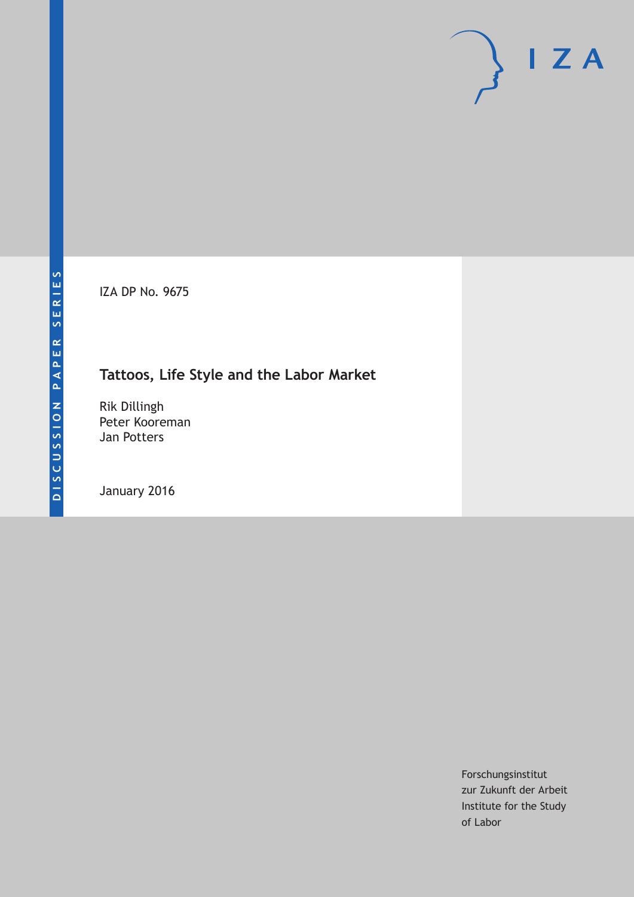IZA DP No. 9675

# **Tattoos, Life Style and the Labor Market**

Rik Dillingh Peter Kooreman Jan Potters

January 2016

Forschungsinstitut zur Zukunft der Arbeit Institute for the Study of Labor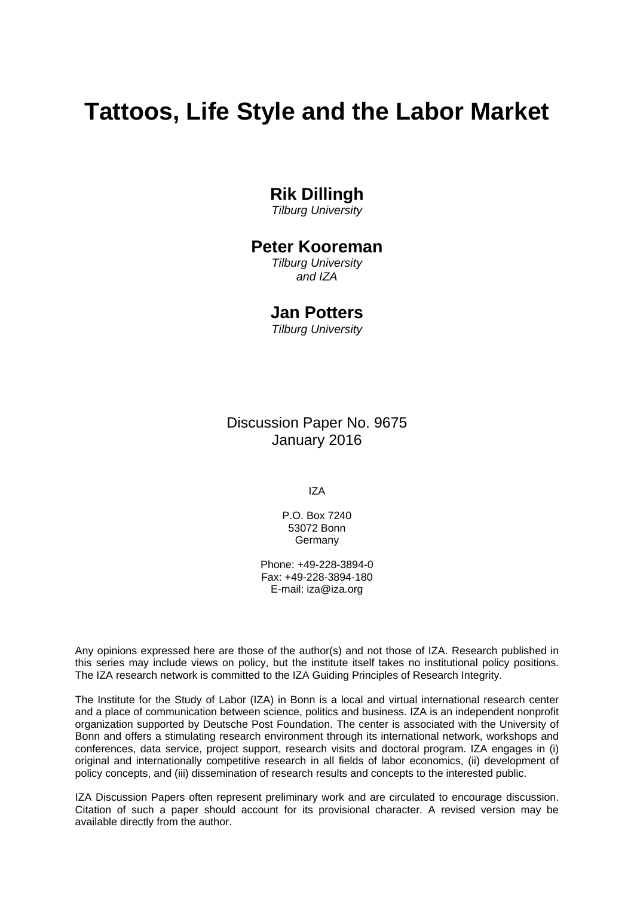# **Tattoos, Life Style and the Labor Market**

# **Rik Dillingh**

*Tilburg University* 

### **Peter Kooreman**

*Tilburg University and IZA* 

### **Jan Potters**

*Tilburg University*

Discussion Paper No. 9675 January 2016

IZA

P.O. Box 7240 53072 Bonn Germany

Phone: +49-228-3894-0 Fax: +49-228-3894-180 E-mail: iza@iza.org

Any opinions expressed here are those of the author(s) and not those of IZA. Research published in this series may include views on policy, but the institute itself takes no institutional policy positions. The IZA research network is committed to the IZA Guiding Principles of Research Integrity.

The Institute for the Study of Labor (IZA) in Bonn is a local and virtual international research center and a place of communication between science, politics and business. IZA is an independent nonprofit organization supported by Deutsche Post Foundation. The center is associated with the University of Bonn and offers a stimulating research environment through its international network, workshops and conferences, data service, project support, research visits and doctoral program. IZA engages in (i) original and internationally competitive research in all fields of labor economics, (ii) development of policy concepts, and (iii) dissemination of research results and concepts to the interested public.

IZA Discussion Papers often represent preliminary work and are circulated to encourage discussion. Citation of such a paper should account for its provisional character. A revised version may be available directly from the author.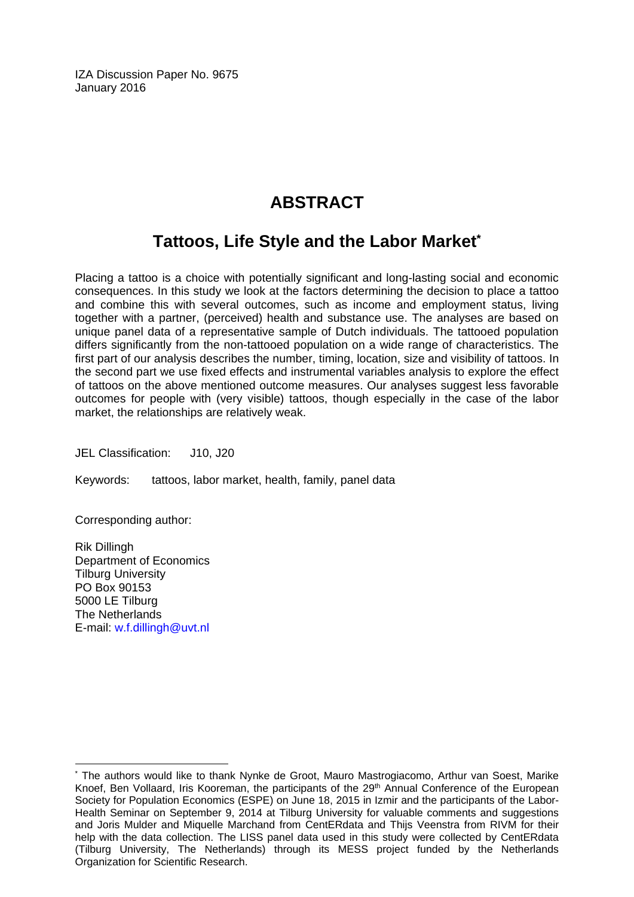IZA Discussion Paper No. 9675 January 2016

# **ABSTRACT**

# **Tattoos, Life Style and the Labor Market\***

Placing a tattoo is a choice with potentially significant and long-lasting social and economic consequences. In this study we look at the factors determining the decision to place a tattoo and combine this with several outcomes, such as income and employment status, living together with a partner, (perceived) health and substance use. The analyses are based on unique panel data of a representative sample of Dutch individuals. The tattooed population differs significantly from the non-tattooed population on a wide range of characteristics. The first part of our analysis describes the number, timing, location, size and visibility of tattoos. In the second part we use fixed effects and instrumental variables analysis to explore the effect of tattoos on the above mentioned outcome measures. Our analyses suggest less favorable outcomes for people with (very visible) tattoos, though especially in the case of the labor market, the relationships are relatively weak.

JEL Classification: J10, J20

Keywords: tattoos, labor market, health, family, panel data

Corresponding author:

Rik Dillingh Department of Economics Tilburg University PO Box 90153 5000 LE Tilburg The Netherlands E-mail: w.f.dillingh@uvt.nl

 $\overline{\phantom{a}}$ 

<sup>\*</sup> The authors would like to thank Nynke de Groot, Mauro Mastrogiacomo, Arthur van Soest, Marike Knoef, Ben Vollaard, Iris Kooreman, the participants of the 29<sup>th</sup> Annual Conference of the European Society for Population Economics (ESPE) on June 18, 2015 in Izmir and the participants of the Labor-Health Seminar on September 9, 2014 at Tilburg University for valuable comments and suggestions and Joris Mulder and Miquelle Marchand from CentERdata and Thijs Veenstra from RIVM for their help with the data collection. The LISS panel data used in this study were collected by CentERdata (Tilburg University, The Netherlands) through its MESS project funded by the Netherlands Organization for Scientific Research.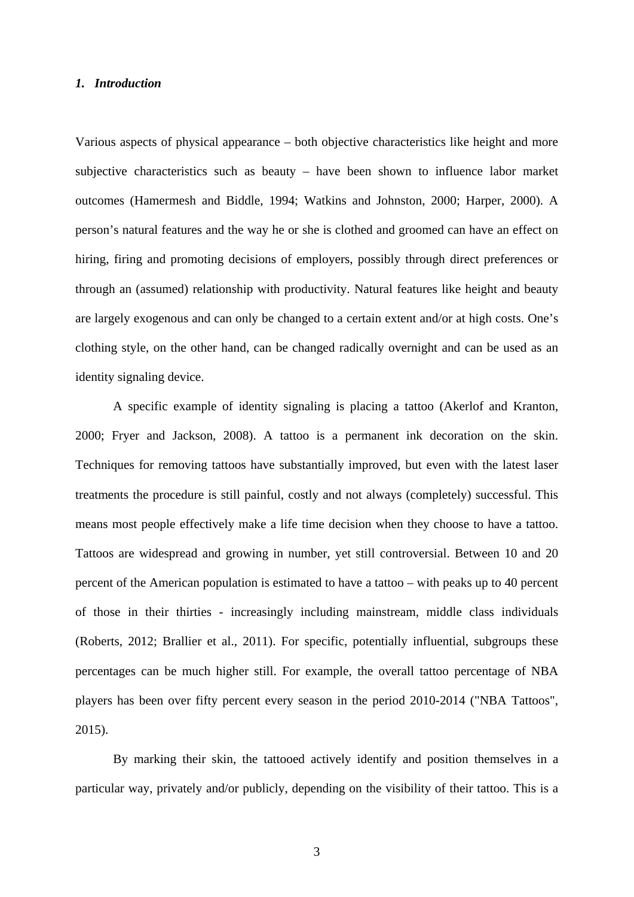#### *1. Introduction*

Various aspects of physical appearance – both objective characteristics like height and more subjective characteristics such as beauty – have been shown to influence labor market outcomes (Hamermesh and Biddle, 1994; Watkins and Johnston, 2000; Harper, 2000). A person's natural features and the way he or she is clothed and groomed can have an effect on hiring, firing and promoting decisions of employers, possibly through direct preferences or through an (assumed) relationship with productivity. Natural features like height and beauty are largely exogenous and can only be changed to a certain extent and/or at high costs. One's clothing style, on the other hand, can be changed radically overnight and can be used as an identity signaling device.

A specific example of identity signaling is placing a tattoo (Akerlof and Kranton, 2000; Fryer and Jackson, 2008). A tattoo is a permanent ink decoration on the skin. Techniques for removing tattoos have substantially improved, but even with the latest laser treatments the procedure is still painful, costly and not always (completely) successful. This means most people effectively make a life time decision when they choose to have a tattoo. Tattoos are widespread and growing in number, yet still controversial. Between 10 and 20 percent of the American population is estimated to have a tattoo – with peaks up to 40 percent of those in their thirties - increasingly including mainstream, middle class individuals (Roberts, 2012; Brallier et al., 2011). For specific, potentially influential, subgroups these percentages can be much higher still. For example, the overall tattoo percentage of NBA players has been over fifty percent every season in the period 2010-2014 ("NBA Tattoos", 2015).

By marking their skin, the tattooed actively identify and position themselves in a particular way, privately and/or publicly, depending on the visibility of their tattoo. This is a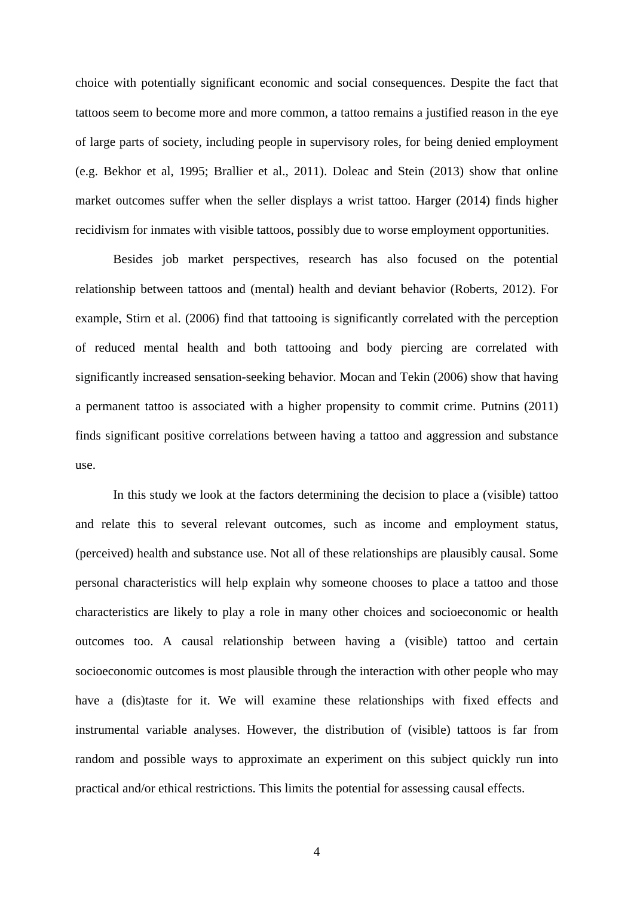choice with potentially significant economic and social consequences. Despite the fact that tattoos seem to become more and more common, a tattoo remains a justified reason in the eye of large parts of society, including people in supervisory roles, for being denied employment (e.g. Bekhor et al, 1995; Brallier et al., 2011). Doleac and Stein (2013) show that online market outcomes suffer when the seller displays a wrist tattoo. Harger (2014) finds higher recidivism for inmates with visible tattoos, possibly due to worse employment opportunities.

Besides job market perspectives, research has also focused on the potential relationship between tattoos and (mental) health and deviant behavior (Roberts, 2012). For example, Stirn et al. (2006) find that tattooing is significantly correlated with the perception of reduced mental health and both tattooing and body piercing are correlated with significantly increased sensation-seeking behavior. Mocan and Tekin (2006) show that having a permanent tattoo is associated with a higher propensity to commit crime. Putnins (2011) finds significant positive correlations between having a tattoo and aggression and substance use.

In this study we look at the factors determining the decision to place a (visible) tattoo and relate this to several relevant outcomes, such as income and employment status, (perceived) health and substance use. Not all of these relationships are plausibly causal. Some personal characteristics will help explain why someone chooses to place a tattoo and those characteristics are likely to play a role in many other choices and socioeconomic or health outcomes too. A causal relationship between having a (visible) tattoo and certain socioeconomic outcomes is most plausible through the interaction with other people who may have a (dis)taste for it. We will examine these relationships with fixed effects and instrumental variable analyses. However, the distribution of (visible) tattoos is far from random and possible ways to approximate an experiment on this subject quickly run into practical and/or ethical restrictions. This limits the potential for assessing causal effects.

4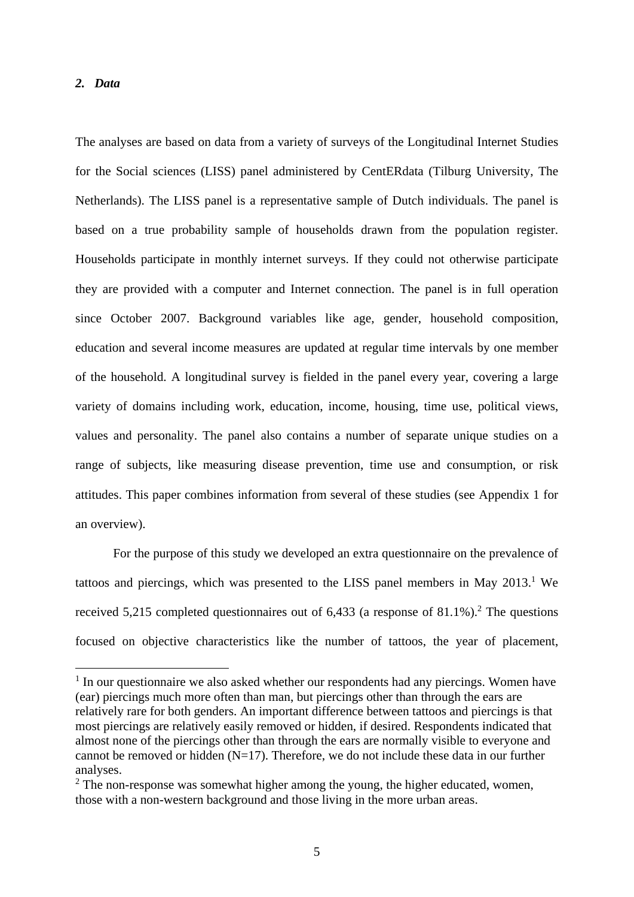#### *2. Data*

1

The analyses are based on data from a variety of surveys of the Longitudinal Internet Studies for the Social sciences (LISS) panel administered by CentERdata (Tilburg University, The Netherlands). The LISS panel is a representative sample of Dutch individuals. The panel is based on a true probability sample of households drawn from the population register. Households participate in monthly internet surveys. If they could not otherwise participate they are provided with a computer and Internet connection. The panel is in full operation since October 2007. Background variables like age, gender, household composition, education and several income measures are updated at regular time intervals by one member of the household. A longitudinal survey is fielded in the panel every year, covering a large variety of domains including work, education, income, housing, time use, political views, values and personality. The panel also contains a number of separate unique studies on a range of subjects, like measuring disease prevention, time use and consumption, or risk attitudes. This paper combines information from several of these studies (see Appendix 1 for an overview).

 For the purpose of this study we developed an extra questionnaire on the prevalence of tattoos and piercings, which was presented to the LISS panel members in May  $2013$ .<sup>1</sup> We received 5,215 completed questionnaires out of  $6,433$  (a response of  $81.1\%$ ).<sup>2</sup> The questions focused on objective characteristics like the number of tattoos, the year of placement,

<sup>&</sup>lt;sup>1</sup> In our questionnaire we also asked whether our respondents had any piercings. Women have (ear) piercings much more often than man, but piercings other than through the ears are relatively rare for both genders. An important difference between tattoos and piercings is that most piercings are relatively easily removed or hidden, if desired. Respondents indicated that almost none of the piercings other than through the ears are normally visible to everyone and cannot be removed or hidden  $(N=17)$ . Therefore, we do not include these data in our further analyses.

 $2$  The non-response was somewhat higher among the young, the higher educated, women, those with a non-western background and those living in the more urban areas.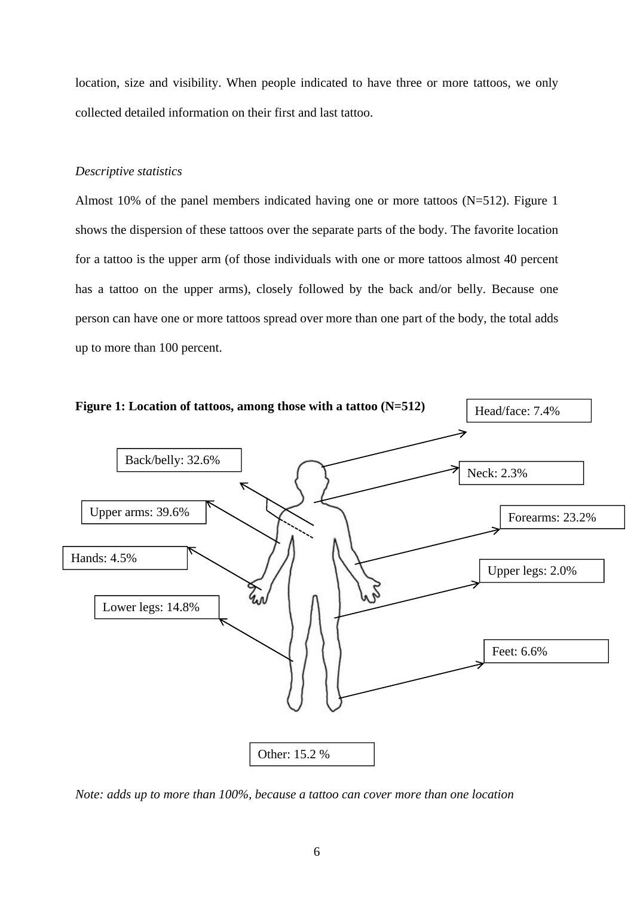location, size and visibility. When people indicated to have three or more tattoos, we only collected detailed information on their first and last tattoo.

#### *Descriptive statistics*

Almost 10% of the panel members indicated having one or more tattoos (N=512). Figure 1 shows the dispersion of these tattoos over the separate parts of the body. The favorite location for a tattoo is the upper arm (of those individuals with one or more tattoos almost 40 percent has a tattoo on the upper arms), closely followed by the back and/or belly. Because one person can have one or more tattoos spread over more than one part of the body, the total adds up to more than 100 percent.



*Note: adds up to more than 100%, because a tattoo can cover more than one location*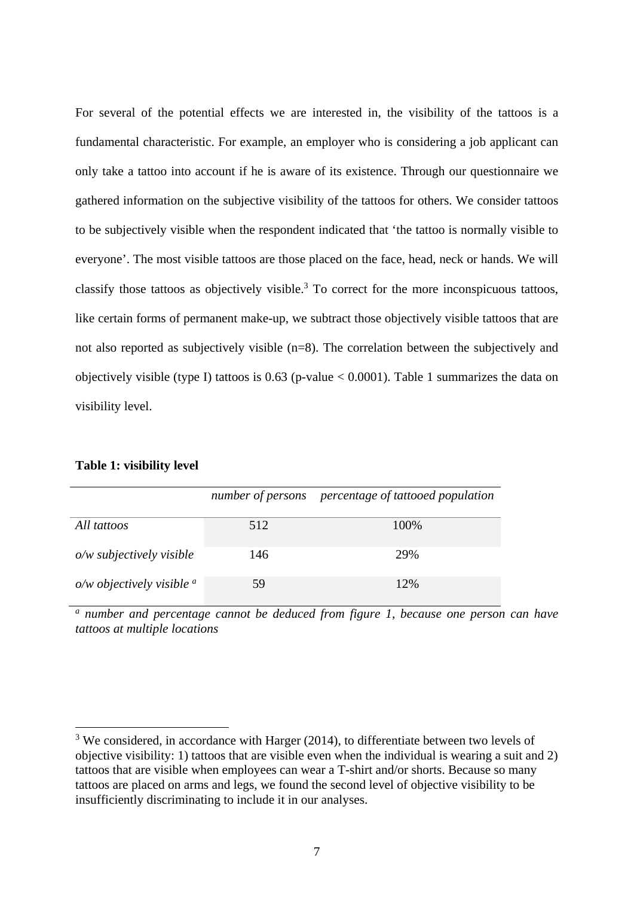For several of the potential effects we are interested in, the visibility of the tattoos is a fundamental characteristic. For example, an employer who is considering a job applicant can only take a tattoo into account if he is aware of its existence. Through our questionnaire we gathered information on the subjective visibility of the tattoos for others. We consider tattoos to be subjectively visible when the respondent indicated that 'the tattoo is normally visible to everyone'. The most visible tattoos are those placed on the face, head, neck or hands. We will classify those tattoos as objectively visible. $3$  To correct for the more inconspicuous tattoos, like certain forms of permanent make-up, we subtract those objectively visible tattoos that are not also reported as subjectively visible (n=8). The correlation between the subjectively and objectively visible (type I) tattoos is  $0.63$  (p-value  $< 0.0001$ ). Table 1 summarizes the data on visibility level.

#### **Table 1: visibility level**

1

|                               |     | number of persons percentage of tattooed population |
|-------------------------------|-----|-----------------------------------------------------|
| All tattoos                   | 512 | 100\%                                               |
| $o/w$ subjectively visible    | 146 | 29%                                                 |
| $o/w$ objectively visible $a$ | 59  | 12%                                                 |

*a number and percentage cannot be deduced from figure 1, because one person can have tattoos at multiple locations* 

<sup>&</sup>lt;sup>3</sup> We considered, in accordance with Harger (2014), to differentiate between two levels of objective visibility: 1) tattoos that are visible even when the individual is wearing a suit and 2) tattoos that are visible when employees can wear a T-shirt and/or shorts. Because so many tattoos are placed on arms and legs, we found the second level of objective visibility to be insufficiently discriminating to include it in our analyses.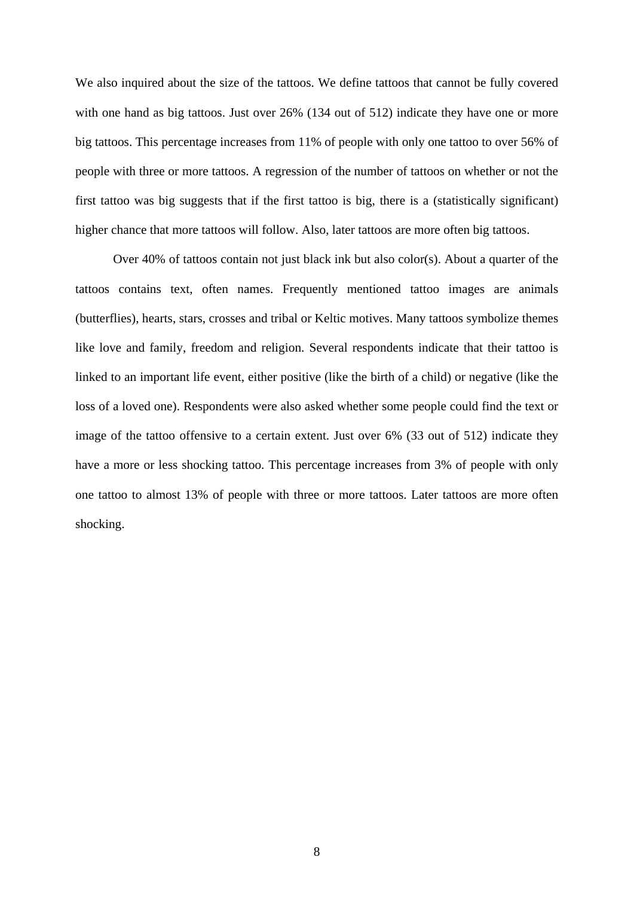We also inquired about the size of the tattoos. We define tattoos that cannot be fully covered with one hand as big tattoos. Just over 26% (134 out of 512) indicate they have one or more big tattoos. This percentage increases from 11% of people with only one tattoo to over 56% of people with three or more tattoos. A regression of the number of tattoos on whether or not the first tattoo was big suggests that if the first tattoo is big, there is a (statistically significant) higher chance that more tattoos will follow. Also, later tattoos are more often big tattoos.

Over 40% of tattoos contain not just black ink but also color(s). About a quarter of the tattoos contains text, often names. Frequently mentioned tattoo images are animals (butterflies), hearts, stars, crosses and tribal or Keltic motives. Many tattoos symbolize themes like love and family, freedom and religion. Several respondents indicate that their tattoo is linked to an important life event, either positive (like the birth of a child) or negative (like the loss of a loved one). Respondents were also asked whether some people could find the text or image of the tattoo offensive to a certain extent. Just over 6% (33 out of 512) indicate they have a more or less shocking tattoo. This percentage increases from 3% of people with only one tattoo to almost 13% of people with three or more tattoos. Later tattoos are more often shocking.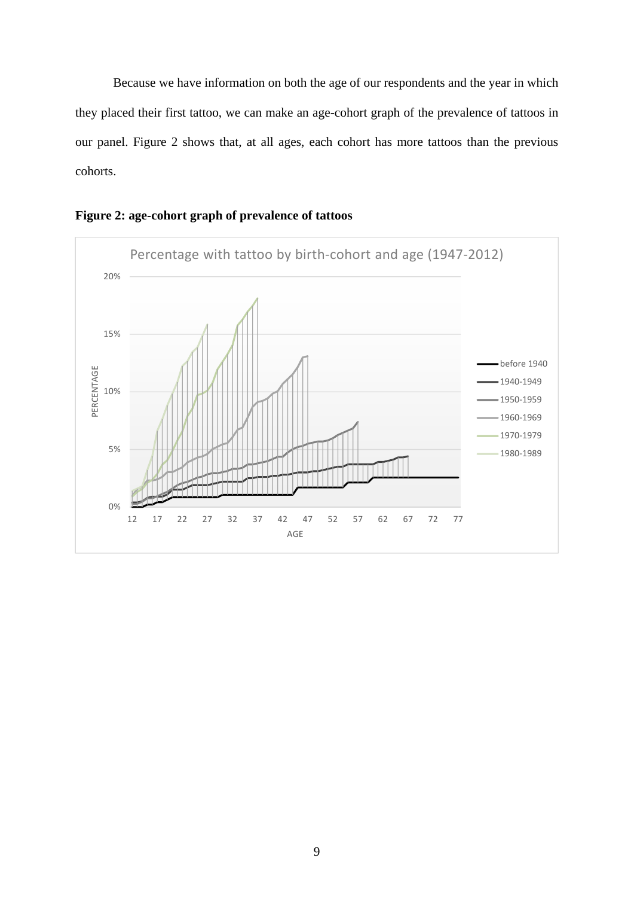Because we have information on both the age of our respondents and the year in which they placed their first tattoo, we can make an age-cohort graph of the prevalence of tattoos in our panel. Figure 2 shows that, at all ages, each cohort has more tattoos than the previous cohorts.



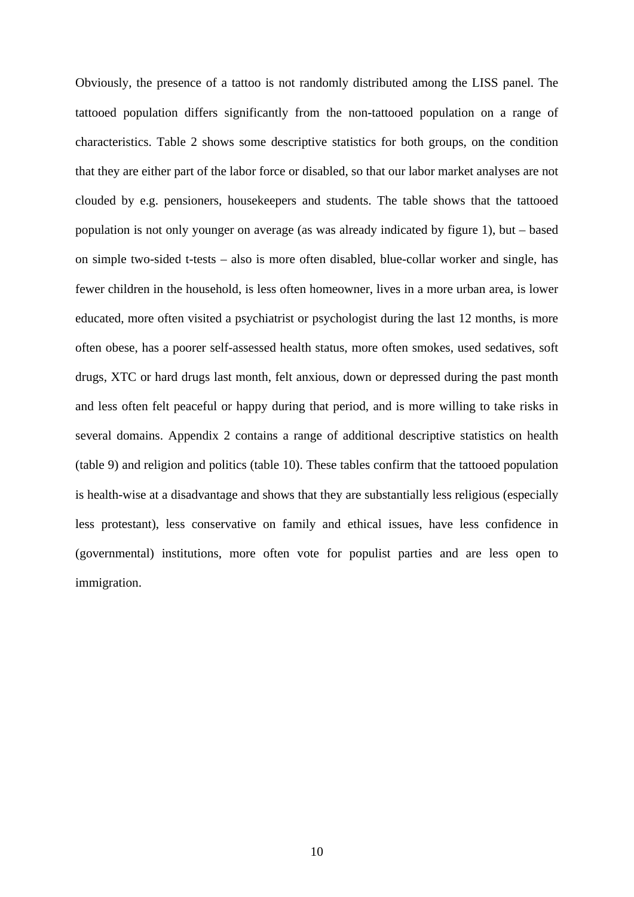Obviously, the presence of a tattoo is not randomly distributed among the LISS panel. The tattooed population differs significantly from the non-tattooed population on a range of characteristics. Table 2 shows some descriptive statistics for both groups, on the condition that they are either part of the labor force or disabled, so that our labor market analyses are not clouded by e.g. pensioners, housekeepers and students. The table shows that the tattooed population is not only younger on average (as was already indicated by figure 1), but – based on simple two-sided t-tests – also is more often disabled, blue-collar worker and single, has fewer children in the household, is less often homeowner, lives in a more urban area, is lower educated, more often visited a psychiatrist or psychologist during the last 12 months, is more often obese, has a poorer self-assessed health status, more often smokes, used sedatives, soft drugs, XTC or hard drugs last month, felt anxious, down or depressed during the past month and less often felt peaceful or happy during that period, and is more willing to take risks in several domains. Appendix 2 contains a range of additional descriptive statistics on health (table 9) and religion and politics (table 10). These tables confirm that the tattooed population is health-wise at a disadvantage and shows that they are substantially less religious (especially less protestant), less conservative on family and ethical issues, have less confidence in (governmental) institutions, more often vote for populist parties and are less open to immigration.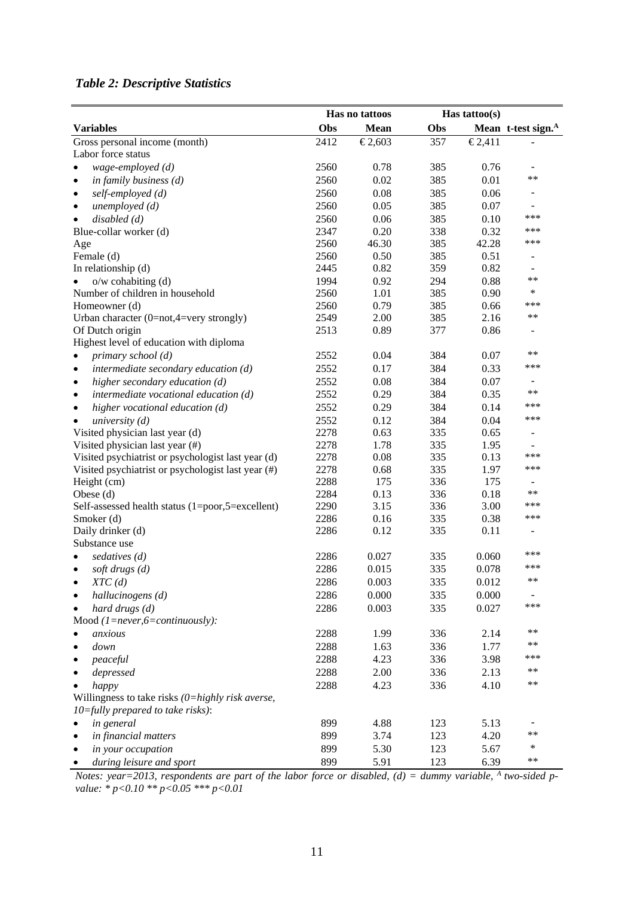### *Table 2: Descriptive Statistics*

|                                                                   |              | Has no tattoos |            | Has tattoo $(s)$ |                                 |
|-------------------------------------------------------------------|--------------|----------------|------------|------------------|---------------------------------|
| <b>Variables</b>                                                  | Obs          | <b>Mean</b>    | Obs        |                  | Mean t-test sign. <sup>A</sup>  |
| Gross personal income (month)                                     | 2412         | €2,603         | 357        | €2,411           |                                 |
| Labor force status                                                |              |                |            |                  |                                 |
| wage-employed (d)                                                 | 2560         | 0.78           | 385        | 0.76             |                                 |
| in family business $(d)$<br>$\bullet$                             | 2560         | 0.02           | 385        | 0.01             | $***$                           |
| self-employed (d)<br>$\bullet$                                    | 2560         | 0.08           | 385        | 0.06             |                                 |
| unemployed(d)<br>$\bullet$                                        | 2560         | 0.05           | 385        | 0.07             |                                 |
| disabeled(d)<br>$\bullet$                                         | 2560         | 0.06           | 385        | 0.10             | ***                             |
| Blue-collar worker (d)                                            | 2347         | 0.20           | 338        | 0.32             | ***                             |
| Age                                                               | 2560         | 46.30          | 385        | 42.28            | ***                             |
| Female (d)                                                        | 2560         | 0.50           | 385        | 0.51             | $\overline{\phantom{0}}$        |
| In relationship (d)                                               | 2445         | 0.82           | 359        | 0.82             |                                 |
| $o/w$ cohabiting $(d)$                                            | 1994         | 0.92           | 294        | 0.88             | $***$                           |
| Number of children in household                                   | 2560         | 1.01           | 385        | 0.90             | ∗                               |
| Homeowner (d)                                                     | 2560         | 0.79           | 385        | 0.66             | ***                             |
| Urban character (0=not,4=very strongly)                           | 2549         | 2.00           | 385        | 2.16             | $***$                           |
| Of Dutch origin                                                   | 2513         | 0.89           | 377        | 0.86             |                                 |
| Highest level of education with diploma                           |              |                |            |                  |                                 |
| primary school (d)<br>$\bullet$                                   | 2552         | 0.04           | 384        | 0.07             | $**$                            |
| intermediate secondary education (d)<br>$\bullet$                 | 2552         | 0.17           | 384        | 0.33             | ***                             |
| higher secondary education (d)<br>$\bullet$                       | 2552         | 0.08           | 384        | 0.07             | $\overline{\phantom{0}}$        |
| intermediate vocational education (d)<br>$\bullet$                | 2552         | 0.29           | 384        | 0.35             | $***$                           |
|                                                                   |              |                |            |                  | ***                             |
| higher vocational education (d)<br>$\bullet$                      | 2552         | 0.29           | 384        | 0.14             | ***                             |
| university $(d)$                                                  | 2552         | 0.12           | 384        | 0.04             |                                 |
| Visited physician last year (d)                                   | 2278         | 0.63           | 335        | 0.65             |                                 |
| Visited physician last year (#)                                   | 2278         | 1.78           | 335        | 1.95<br>0.13     | $\overline{\phantom{m}}$<br>*** |
| Visited psychiatrist or psychologist last year (d)                | 2278<br>2278 | 0.08           | 335<br>335 | 1.97             | ***                             |
| Visited psychiatrist or psychologist last year (#)<br>Height (cm) | 2288         | 0.68<br>175    | 336        | 175              |                                 |
| Obese (d)                                                         | 2284         | 0.13           | 336        | 0.18             | **                              |
| Self-assessed health status (1=poor,5=excellent)                  | 2290         | 3.15           | 336        | 3.00             | ***                             |
| Smoker (d)                                                        | 2286         | 0.16           | 335        | 0.38             | ***                             |
| Daily drinker (d)                                                 | 2286         | 0.12           | 335        | 0.11             |                                 |
| Substance use                                                     |              |                |            |                  |                                 |
| sedatives (d)                                                     | 2286         | 0.027          | 335        | 0.060            | ***                             |
| soft drugs $(d)$                                                  | 2286         | 0.015          | 335        | 0.078            | ***                             |
| XTC(d)                                                            | 2286         | 0.003          | 335        | 0.012            | $***$                           |
| $\bullet$                                                         | 2286         | 0.000          | 335        | 0.000            | $\overline{\phantom{a}}$        |
| hallucinogens (d)                                                 |              |                | 335        |                  | ***                             |
| hard drugs (d)                                                    | 2286         | 0.003          |            | 0.027            |                                 |
| Mood $(1 = never, 6 = continuously)$ :<br>anxious                 |              |                |            |                  | $***$                           |
|                                                                   | 2288         | 1.99           | 336        | 2.14             | $***$                           |
| down                                                              | 2288         | 1.63           | 336        | 1.77             | ***                             |
| peaceful                                                          | 2288         | 4.23           | 336        | 3.98             | $***$                           |
| depressed                                                         | 2288         | 2.00           | 336        | 2.13             |                                 |
| happy                                                             | 2288         | 4.23           | 336        | 4.10             | **                              |
| Willingness to take risks $(0=highly risk \ averse,$              |              |                |            |                  |                                 |
| $10 =$ fully prepared to take risks):                             |              |                |            |                  |                                 |
| in general                                                        | 899          | 4.88           | 123        | 5.13             |                                 |
| in financial matters                                              | 899          | 3.74           | 123        | 4.20             | $***$                           |
| in your occupation                                                | 899          | 5.30           | 123        | 5.67             | ∗                               |
| during leisure and sport                                          | 899          | 5.91           | 123        | 6.39             | **                              |

Notes: year=2013, respondents are part of the labor force or disabled, (d) = dummy variable, <sup>A</sup> two-sided p*value: \* p<0.10 \*\* p<0.05 \*\*\* p<0.01*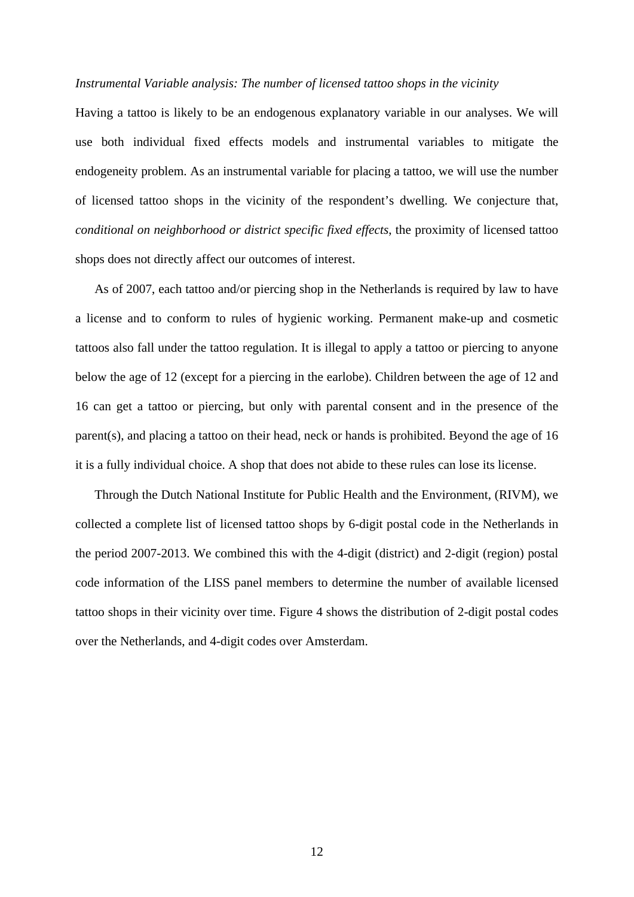#### *Instrumental Variable analysis: The number of licensed tattoo shops in the vicinity*

Having a tattoo is likely to be an endogenous explanatory variable in our analyses. We will use both individual fixed effects models and instrumental variables to mitigate the endogeneity problem. As an instrumental variable for placing a tattoo, we will use the number of licensed tattoo shops in the vicinity of the respondent's dwelling. We conjecture that, *conditional on neighborhood or district specific fixed effects*, the proximity of licensed tattoo shops does not directly affect our outcomes of interest.

As of 2007, each tattoo and/or piercing shop in the Netherlands is required by law to have a license and to conform to rules of hygienic working. Permanent make-up and cosmetic tattoos also fall under the tattoo regulation. It is illegal to apply a tattoo or piercing to anyone below the age of 12 (except for a piercing in the earlobe). Children between the age of 12 and 16 can get a tattoo or piercing, but only with parental consent and in the presence of the parent(s), and placing a tattoo on their head, neck or hands is prohibited. Beyond the age of 16 it is a fully individual choice. A shop that does not abide to these rules can lose its license.

Through the Dutch National Institute for Public Health and the Environment, (RIVM), we collected a complete list of licensed tattoo shops by 6-digit postal code in the Netherlands in the period 2007-2013. We combined this with the 4-digit (district) and 2-digit (region) postal code information of the LISS panel members to determine the number of available licensed tattoo shops in their vicinity over time. Figure 4 shows the distribution of 2-digit postal codes over the Netherlands, and 4-digit codes over Amsterdam.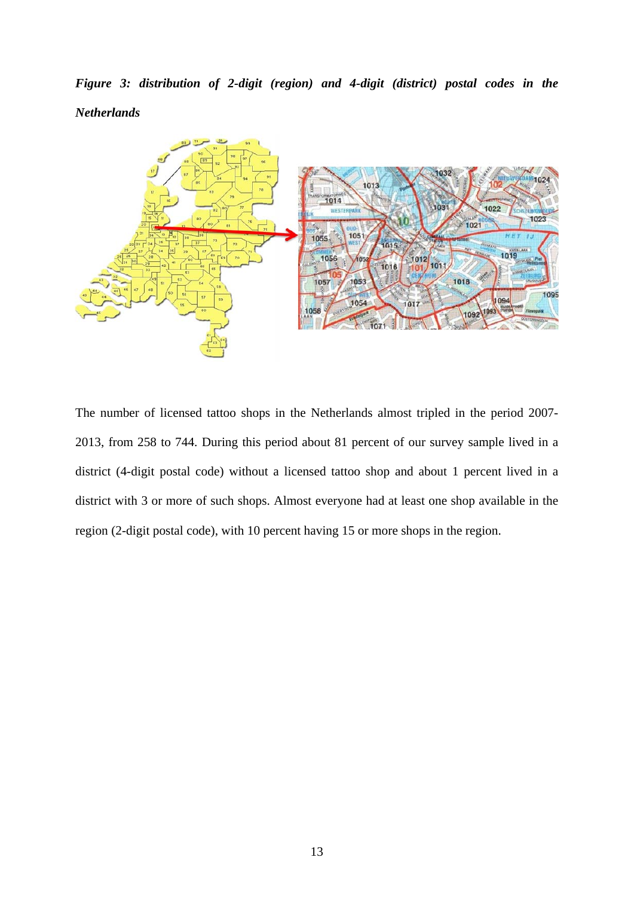*Figure 3: distribution of 2-digit (region) and 4-digit (district) postal codes in the Netherlands* 



The number of licensed tattoo shops in the Netherlands almost tripled in the period 2007- 2013, from 258 to 744. During this period about 81 percent of our survey sample lived in a district (4-digit postal code) without a licensed tattoo shop and about 1 percent lived in a district with 3 or more of such shops. Almost everyone had at least one shop available in the region (2-digit postal code), with 10 percent having 15 or more shops in the region.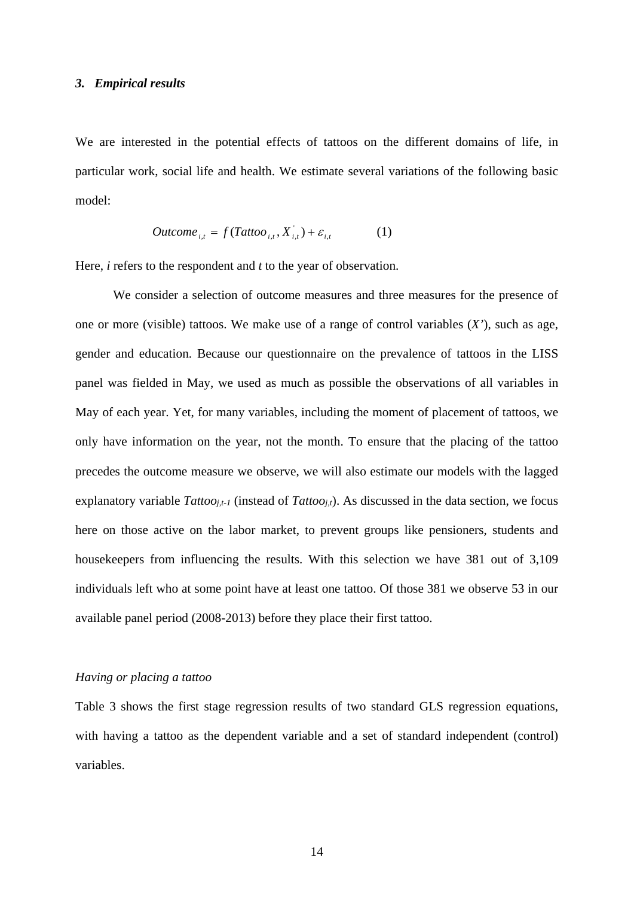#### *3. Empirical results*

We are interested in the potential effects of tattoos on the different domains of life, in particular work, social life and health. We estimate several variations of the following basic model:

$$
Outcome_{i,t} = f(Tattoo_{i,t}, X_{i,t}^{\dagger}) + \varepsilon_{i,t}
$$
 (1)

Here, *i* refers to the respondent and *t* to the year of observation.

We consider a selection of outcome measures and three measures for the presence of one or more (visible) tattoos. We make use of a range of control variables (*X'*), such as age, gender and education. Because our questionnaire on the prevalence of tattoos in the LISS panel was fielded in May, we used as much as possible the observations of all variables in May of each year. Yet, for many variables, including the moment of placement of tattoos, we only have information on the year, not the month. To ensure that the placing of the tattoo precedes the outcome measure we observe, we will also estimate our models with the lagged explanatory variable *Tattooj,t-1* (instead of *Tattooj,t*). As discussed in the data section, we focus here on those active on the labor market, to prevent groups like pensioners, students and housekeepers from influencing the results. With this selection we have 381 out of 3,109 individuals left who at some point have at least one tattoo. Of those 381 we observe 53 in our available panel period (2008-2013) before they place their first tattoo.

#### *Having or placing a tattoo*

Table 3 shows the first stage regression results of two standard GLS regression equations, with having a tattoo as the dependent variable and a set of standard independent (control) variables.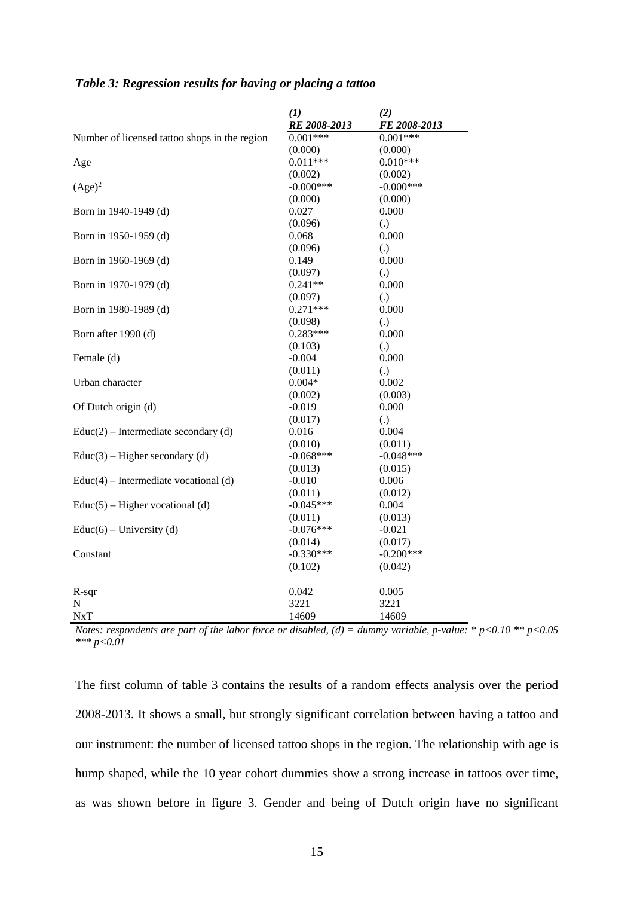|                                               | (1)                        | (2)                        |
|-----------------------------------------------|----------------------------|----------------------------|
| Number of licensed tattoo shops in the region | RE 2008-2013<br>$0.001***$ | FE 2008-2013<br>$0.001***$ |
|                                               | (0.000)                    | (0.000)                    |
|                                               | $0.011***$                 | $0.010***$                 |
| Age                                           | (0.002)                    | (0.002)                    |
| $(Age)^2$                                     | $-0.000$ ***               | $-0.000$ ***               |
|                                               | (0.000)                    | (0.000)                    |
| Born in 1940-1949 (d)                         | 0.027                      | 0.000                      |
|                                               | (0.096)                    | $\left( .\right)$          |
|                                               | 0.068                      | 0.000                      |
| Born in 1950-1959 (d)                         |                            |                            |
|                                               | (0.096)                    | $\left( .\right)$          |
| Born in 1960-1969 (d)                         | 0.149                      | 0.000                      |
|                                               | (0.097)                    | $\left( .\right)$          |
| Born in 1970-1979 (d)                         | $0.241**$                  | 0.000                      |
|                                               | (0.097)                    | $\left( .\right)$          |
| Born in 1980-1989 (d)                         | $0.271***$                 | 0.000                      |
|                                               | (0.098)                    | $\left( .\right)$          |
| Born after 1990 (d)                           | $0.283***$                 | 0.000                      |
|                                               | (0.103)                    | $\left( .\right)$          |
| Female (d)                                    | $-0.004$                   | 0.000                      |
|                                               | (0.011)                    | $\left( .\right)$          |
| Urban character                               | $0.004*$                   | 0.002                      |
|                                               | (0.002)                    | (0.003)                    |
| Of Dutch origin (d)                           | $-0.019$                   | 0.000                      |
|                                               | (0.017)                    | $\left( .\right)$          |
| $Educ(2) - Intermediate secondary(d)$         | 0.016                      | 0.004                      |
|                                               | (0.010)                    | (0.011)                    |
| $Educ(3) - Higher secondary(d)$               | $-0.068***$                | $-0.048***$                |
|                                               | (0.013)                    | (0.015)                    |
| $Educ(4) - Intermediate vocal (d)$            | $-0.010$                   | 0.006                      |
|                                               | (0.011)                    | (0.012)                    |
| $Educ(5) - Higher vocalional(d)$              | $-0.045***$                | 0.004                      |
|                                               | (0.011)                    | (0.013)                    |
| Educ(6) – University (d)                      | $-0.076***$                | $-0.021$                   |
|                                               | (0.014)                    | (0.017)                    |
| Constant                                      | $-0.330***$                | $-0.200***$                |
|                                               | (0.102)                    | (0.042)                    |
| $R$ -sqr                                      | 0.042                      | 0.005                      |
| $\mathbf N$                                   | 3221                       | 3221                       |
| NxT                                           | 14609                      | 14609                      |

| Table 3: Regression results for having or placing a tattoo |  |  |  |
|------------------------------------------------------------|--|--|--|
|                                                            |  |  |  |

*Notes: respondents are part of the labor force or disabled, (d) = dummy variable, p-value: \* p<0.10 \*\* p<0.05 \*\*\* p<0.01*

The first column of table 3 contains the results of a random effects analysis over the period 2008-2013. It shows a small, but strongly significant correlation between having a tattoo and our instrument: the number of licensed tattoo shops in the region. The relationship with age is hump shaped, while the 10 year cohort dummies show a strong increase in tattoos over time, as was shown before in figure 3. Gender and being of Dutch origin have no significant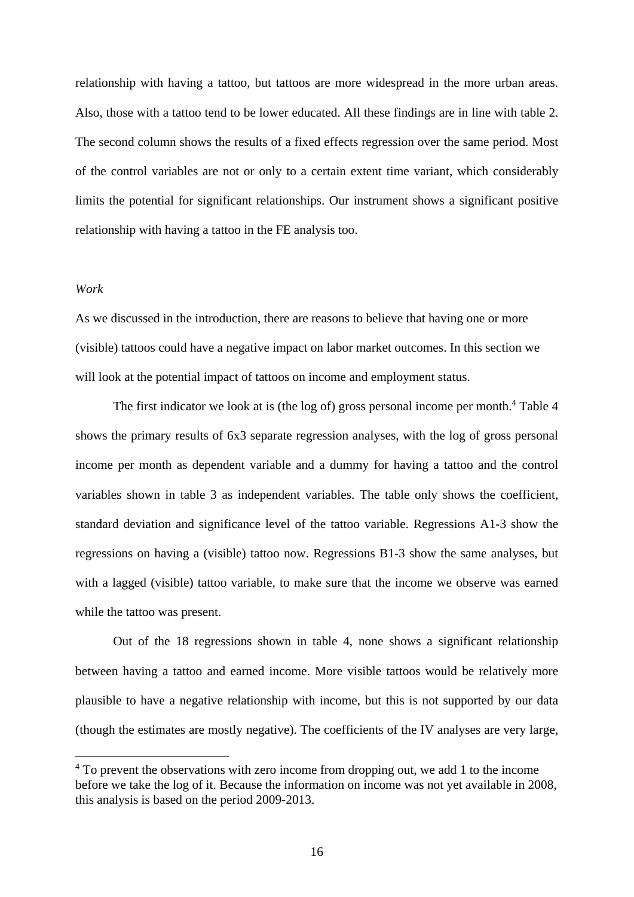relationship with having a tattoo, but tattoos are more widespread in the more urban areas. Also, those with a tattoo tend to be lower educated. All these findings are in line with table 2. The second column shows the results of a fixed effects regression over the same period. Most of the control variables are not or only to a certain extent time variant, which considerably limits the potential for significant relationships. Our instrument shows a significant positive relationship with having a tattoo in the FE analysis too.

#### *Work*

1

As we discussed in the introduction, there are reasons to believe that having one or more (visible) tattoos could have a negative impact on labor market outcomes. In this section we will look at the potential impact of tattoos on income and employment status.

The first indicator we look at is (the log of) gross personal income per month.<sup>4</sup> Table 4 shows the primary results of 6x3 separate regression analyses, with the log of gross personal income per month as dependent variable and a dummy for having a tattoo and the control variables shown in table 3 as independent variables. The table only shows the coefficient, standard deviation and significance level of the tattoo variable. Regressions A1-3 show the regressions on having a (visible) tattoo now. Regressions B1-3 show the same analyses, but with a lagged (visible) tattoo variable, to make sure that the income we observe was earned while the tattoo was present.

Out of the 18 regressions shown in table 4, none shows a significant relationship between having a tattoo and earned income. More visible tattoos would be relatively more plausible to have a negative relationship with income, but this is not supported by our data (though the estimates are mostly negative). The coefficients of the IV analyses are very large,

<sup>&</sup>lt;sup>4</sup> To prevent the observations with zero income from dropping out, we add 1 to the income before we take the log of it. Because the information on income was not yet available in 2008, this analysis is based on the period 2009-2013.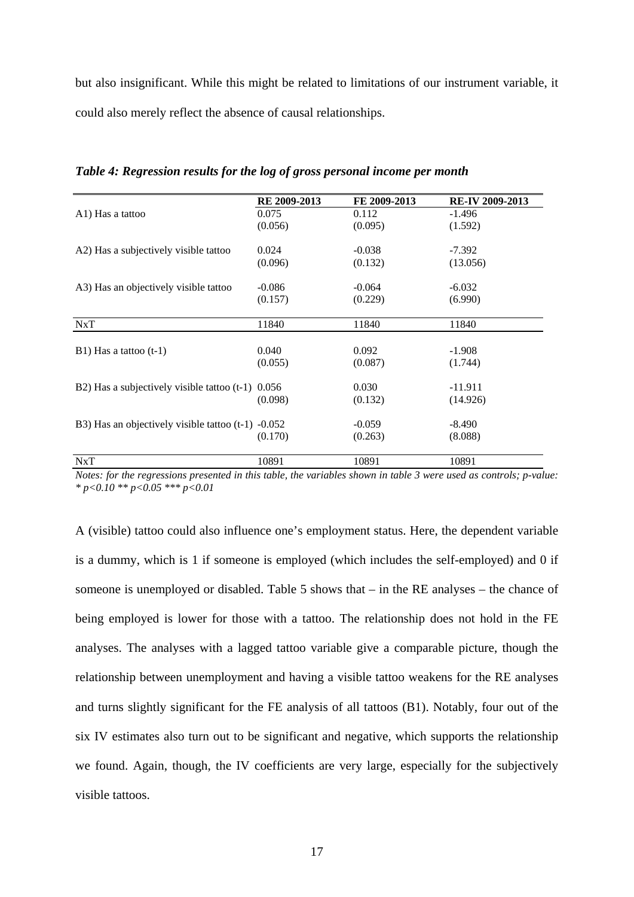but also insignificant. While this might be related to limitations of our instrument variable, it could also merely reflect the absence of causal relationships.

|                                                      | RE 2009-2013 | FE 2009-2013 | <b>RE-IV 2009-2013</b> |
|------------------------------------------------------|--------------|--------------|------------------------|
| A1) Has a tattoo                                     | 0.075        | 0.112        | $-1.496$               |
|                                                      | (0.056)      | (0.095)      | (1.592)                |
| A2) Has a subjectively visible tattoo                | 0.024        | $-0.038$     | $-7.392$               |
|                                                      | (0.096)      | (0.132)      | (13.056)               |
| A3) Has an objectively visible tattoo                | $-0.086$     | $-0.064$     | $-6.032$               |
|                                                      | (0.157)      | (0.229)      | (6.990)                |
| NxT                                                  | 11840        | 11840        | 11840                  |
|                                                      |              |              |                        |
| $B1)$ Has a tattoo (t-1)                             | 0.040        | 0.092        | $-1.908$               |
|                                                      | (0.055)      | (0.087)      | (1.744)                |
| B2) Has a subjectively visible tattoo $(t-1)$ 0.056  |              | 0.030        | $-11.911$              |
|                                                      | (0.098)      | (0.132)      | (14.926)               |
| B3) Has an objectively visible tattoo $(t-1)$ -0.052 |              | $-0.059$     | $-8.490$               |
|                                                      | (0.170)      | (0.263)      | (8.088)                |
| NxT                                                  | 10891        | 10891        | 10891                  |

*Table 4: Regression results for the log of gross personal income per month* 

*Notes: for the regressions presented in this table, the variables shown in table 3 were used as controls; p-value: \* p<0.10 \*\* p<0.05 \*\*\* p<0.01*

A (visible) tattoo could also influence one's employment status. Here, the dependent variable is a dummy, which is 1 if someone is employed (which includes the self-employed) and 0 if someone is unemployed or disabled. Table 5 shows that – in the RE analyses – the chance of being employed is lower for those with a tattoo. The relationship does not hold in the FE analyses. The analyses with a lagged tattoo variable give a comparable picture, though the relationship between unemployment and having a visible tattoo weakens for the RE analyses and turns slightly significant for the FE analysis of all tattoos (B1). Notably, four out of the six IV estimates also turn out to be significant and negative, which supports the relationship we found. Again, though, the IV coefficients are very large, especially for the subjectively visible tattoos.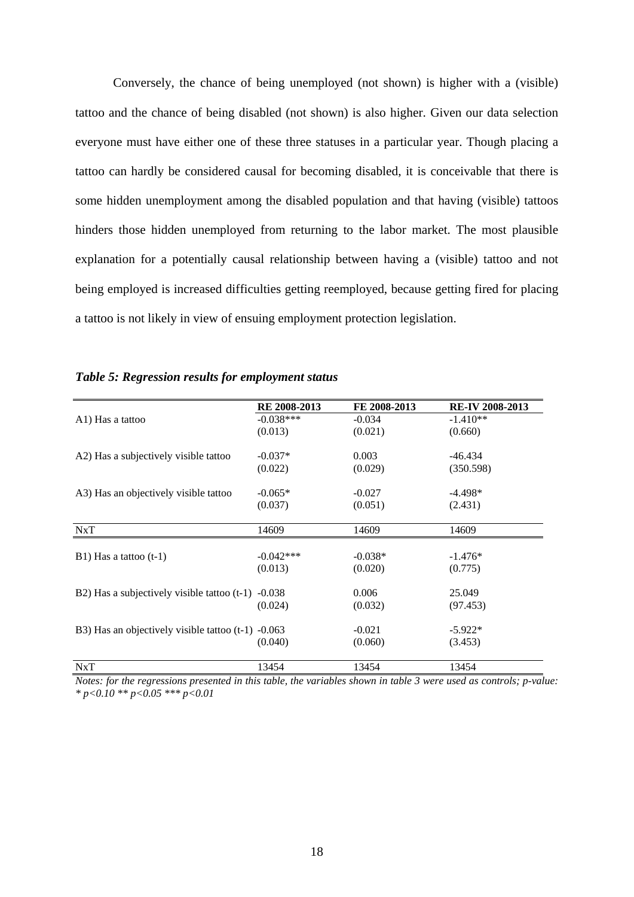Conversely, the chance of being unemployed (not shown) is higher with a (visible) tattoo and the chance of being disabled (not shown) is also higher. Given our data selection everyone must have either one of these three statuses in a particular year. Though placing a tattoo can hardly be considered causal for becoming disabled, it is conceivable that there is some hidden unemployment among the disabled population and that having (visible) tattoos hinders those hidden unemployed from returning to the labor market. The most plausible explanation for a potentially causal relationship between having a (visible) tattoo and not being employed is increased difficulties getting reemployed, because getting fired for placing a tattoo is not likely in view of ensuing employment protection legislation.

|                                                      | RE 2008-2013 | FE 2008-2013 | <b>RE-IV 2008-2013</b> |
|------------------------------------------------------|--------------|--------------|------------------------|
| A1) Has a tattoo                                     | $-0.038***$  | $-0.034$     | $-1.410**$             |
|                                                      | (0.013)      | (0.021)      | (0.660)                |
| A2) Has a subjectively visible tattoo                | $-0.037*$    | 0.003        | -46.434                |
|                                                      | (0.022)      | (0.029)      | (350.598)              |
| A3) Has an objectively visible tattoo                | $-0.065*$    | $-0.027$     | $-4.498*$              |
|                                                      | (0.037)      | (0.051)      | (2.431)                |
| NxT                                                  | 14609        | 14609        | 14609                  |
|                                                      |              |              |                        |
| $B1)$ Has a tattoo (t-1)                             | $-0.042***$  | $-0.038*$    | $-1.476*$              |
|                                                      | (0.013)      | (0.020)      | (0.775)                |
| $B2$ ) Has a subjectively visible tattoo (t-1)       | $-0.038$     | 0.006        | 25.049                 |
|                                                      | (0.024)      | (0.032)      | (97.453)               |
| B3) Has an objectively visible tattoo $(t-1)$ -0.063 |              | $-0.021$     | $-5.922*$              |
|                                                      | (0.040)      | (0.060)      | (3.453)                |
| <b>NxT</b>                                           | 13454        | 13454        | 13454                  |

*Table 5: Regression results for employment status* 

*Notes: for the regressions presented in this table, the variables shown in table 3 were used as controls; p-value: \* p<0.10 \*\* p<0.05 \*\*\* p<0.01*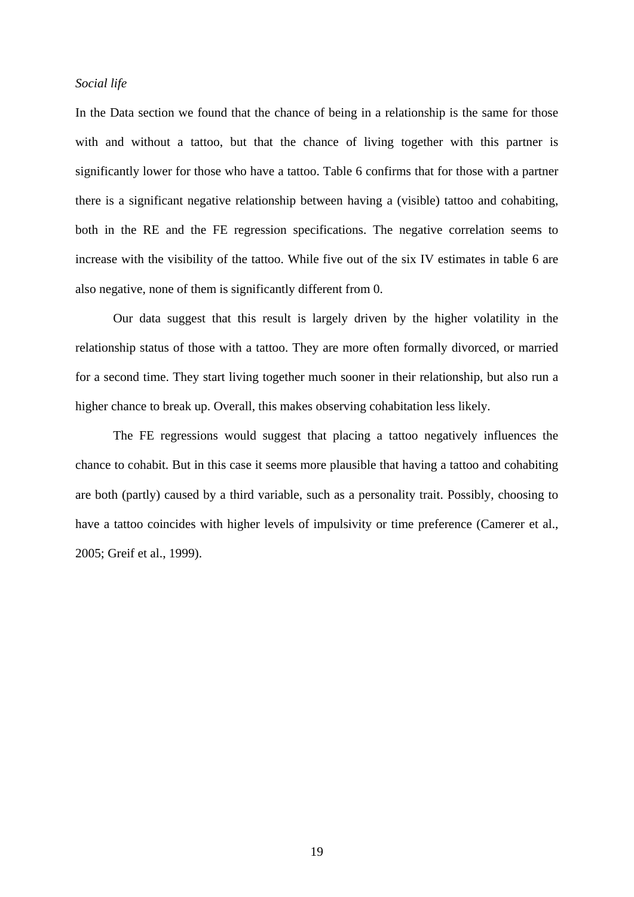#### *Social life*

In the Data section we found that the chance of being in a relationship is the same for those with and without a tattoo, but that the chance of living together with this partner is significantly lower for those who have a tattoo. Table 6 confirms that for those with a partner there is a significant negative relationship between having a (visible) tattoo and cohabiting, both in the RE and the FE regression specifications. The negative correlation seems to increase with the visibility of the tattoo. While five out of the six IV estimates in table 6 are also negative, none of them is significantly different from 0.

Our data suggest that this result is largely driven by the higher volatility in the relationship status of those with a tattoo. They are more often formally divorced, or married for a second time. They start living together much sooner in their relationship, but also run a higher chance to break up. Overall, this makes observing cohabitation less likely.

The FE regressions would suggest that placing a tattoo negatively influences the chance to cohabit. But in this case it seems more plausible that having a tattoo and cohabiting are both (partly) caused by a third variable, such as a personality trait. Possibly, choosing to have a tattoo coincides with higher levels of impulsivity or time preference (Camerer et al., 2005; Greif et al., 1999).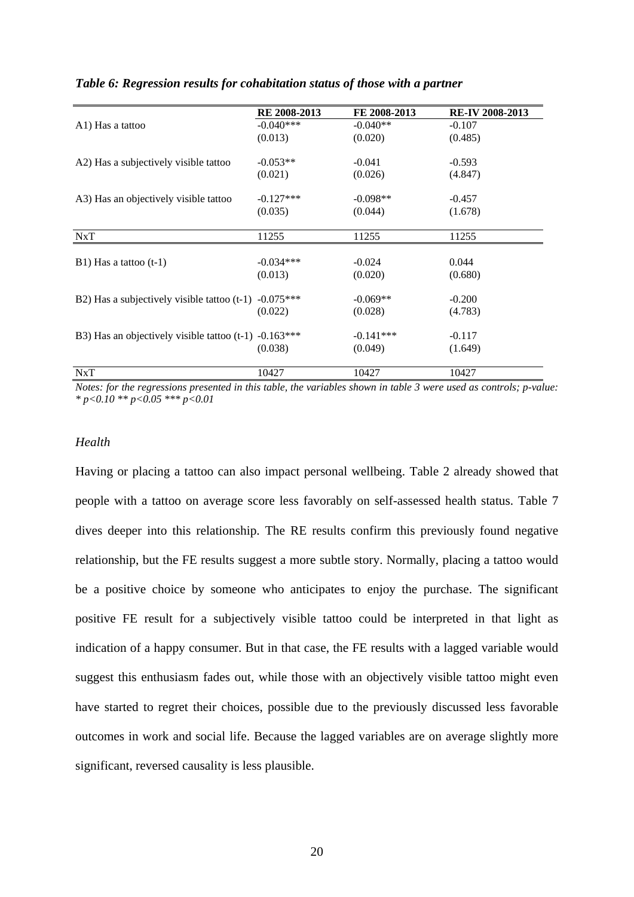|                                                         | RE 2008-2013 | FE 2008-2013 | <b>RE-IV 2008-2013</b> |
|---------------------------------------------------------|--------------|--------------|------------------------|
| A1) Has a tattoo                                        | $-0.040***$  | $-0.040**$   | $-0.107$               |
|                                                         | (0.013)      | (0.020)      | (0.485)                |
| A2) Has a subjectively visible tattoo                   | $-0.053**$   | $-0.041$     | $-0.593$               |
|                                                         | (0.021)      | (0.026)      | (4.847)                |
| A3) Has an objectively visible tattoo                   | $-0.127***$  | $-0.098**$   | $-0.457$               |
|                                                         | (0.035)      | (0.044)      | (1.678)                |
| NxT                                                     | 11255        | 11255        | 11255                  |
|                                                         |              |              |                        |
| $B1)$ Has a tattoo (t-1)                                | $-0.034***$  | $-0.024$     | 0.044                  |
|                                                         | (0.013)      | (0.020)      | (0.680)                |
| $B2$ ) Has a subjectively visible tattoo (t-1)          | $-0.075***$  | $-0.069**$   | $-0.200$               |
|                                                         | (0.022)      | (0.028)      | (4.783)                |
| B3) Has an objectively visible tattoo $(t-1)$ -0.163*** |              | $-0.141***$  | $-0.117$               |
|                                                         | (0.038)      | (0.049)      | (1.649)                |
| NxT                                                     | 10427        | 10427        | 10427                  |

#### *Table 6: Regression results for cohabitation status of those with a partner*

*Notes: for the regressions presented in this table, the variables shown in table 3 were used as controls; p-value: \* p<0.10 \*\* p<0.05 \*\*\* p<0.01*

#### *Health*

Having or placing a tattoo can also impact personal wellbeing. Table 2 already showed that people with a tattoo on average score less favorably on self-assessed health status. Table 7 dives deeper into this relationship. The RE results confirm this previously found negative relationship, but the FE results suggest a more subtle story. Normally, placing a tattoo would be a positive choice by someone who anticipates to enjoy the purchase. The significant positive FE result for a subjectively visible tattoo could be interpreted in that light as indication of a happy consumer. But in that case, the FE results with a lagged variable would suggest this enthusiasm fades out, while those with an objectively visible tattoo might even have started to regret their choices, possible due to the previously discussed less favorable outcomes in work and social life. Because the lagged variables are on average slightly more significant, reversed causality is less plausible.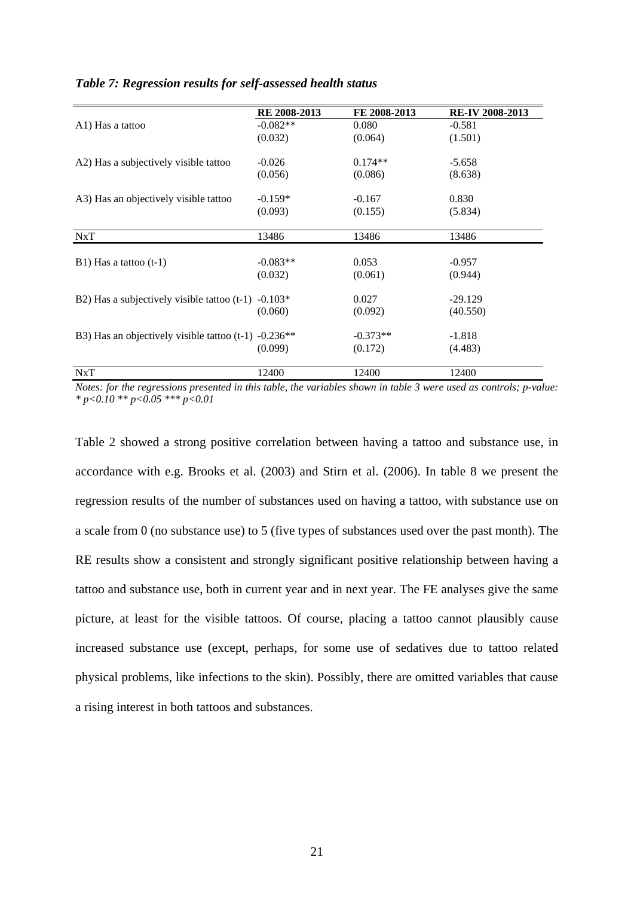|                                                                    | RE 2008-2013 | FE 2008-2013 | <b>RE-IV 2008-2013</b> |
|--------------------------------------------------------------------|--------------|--------------|------------------------|
| A1) Has a tattoo                                                   | $-0.082**$   | 0.080        | $-0.581$               |
|                                                                    | (0.032)      | (0.064)      | (1.501)                |
| A2) Has a subjectively visible tattoo                              | $-0.026$     | $0.174**$    | $-5.658$               |
|                                                                    | (0.056)      | (0.086)      | (8.638)                |
| A3) Has an objectively visible tattoo                              | $-0.159*$    | $-0.167$     | 0.830                  |
|                                                                    | (0.093)      | (0.155)      | (5.834)                |
| NxT                                                                | 13486        | 13486        | 13486                  |
| $B1)$ Has a tattoo (t-1)                                           | $-0.083**$   | 0.053        | $-0.957$               |
|                                                                    | (0.032)      | (0.061)      | (0.944)                |
| $B2$ ) Has a subjectively visible tattoo (t-1)                     | $-0.103*$    | 0.027        | $-29.129$              |
|                                                                    | (0.060)      | (0.092)      | (40.550)               |
| B3) Has an objectively visible tattoo $(t-1)$ -0.236 <sup>**</sup> |              | $-0.373**$   | $-1.818$               |
|                                                                    | (0.099)      | (0.172)      | (4.483)                |
| NxT                                                                | 12400        | 12400        | 12400                  |

#### *Table 7: Regression results for self-assessed health status*

*Notes: for the regressions presented in this table, the variables shown in table 3 were used as controls; p-value: \* p<0.10 \*\* p<0.05 \*\*\* p<0.01*

Table 2 showed a strong positive correlation between having a tattoo and substance use, in accordance with e.g. Brooks et al. (2003) and Stirn et al. (2006). In table 8 we present the regression results of the number of substances used on having a tattoo, with substance use on a scale from 0 (no substance use) to 5 (five types of substances used over the past month). The RE results show a consistent and strongly significant positive relationship between having a tattoo and substance use, both in current year and in next year. The FE analyses give the same picture, at least for the visible tattoos. Of course, placing a tattoo cannot plausibly cause increased substance use (except, perhaps, for some use of sedatives due to tattoo related physical problems, like infections to the skin). Possibly, there are omitted variables that cause a rising interest in both tattoos and substances.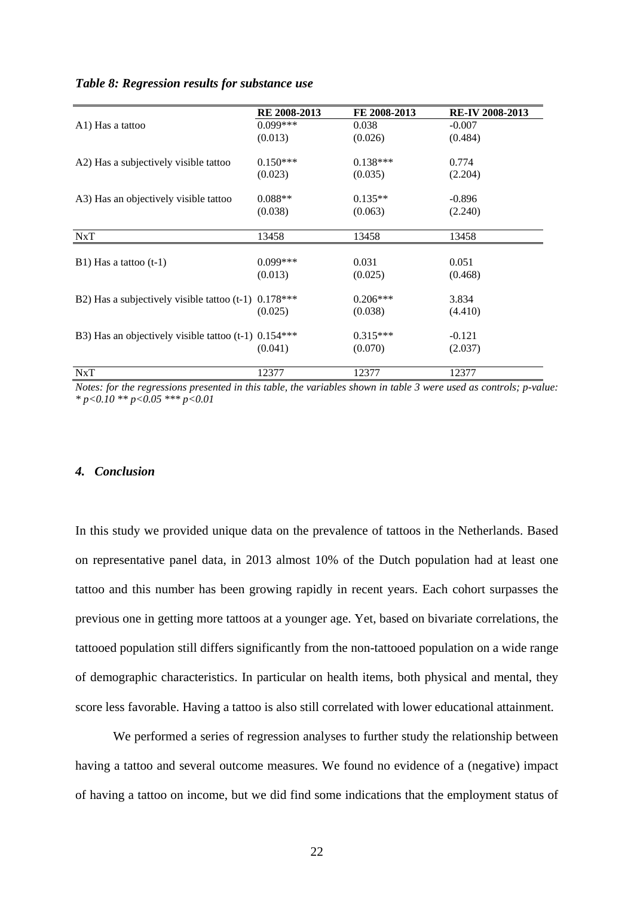#### *Table 8: Regression results for substance use*

|                                                        | RE 2008-2013 | FE 2008-2013 | <b>RE-IV 2008-2013</b> |
|--------------------------------------------------------|--------------|--------------|------------------------|
| A1) Has a tattoo                                       | $0.099***$   | 0.038        | $-0.007$               |
|                                                        | (0.013)      | (0.026)      | (0.484)                |
| A2) Has a subjectively visible tattoo                  | $0.150***$   | $0.138***$   | 0.774                  |
|                                                        | (0.023)      | (0.035)      | (2.204)                |
| A3) Has an objectively visible tattoo                  | $0.088**$    | $0.135**$    | $-0.896$               |
|                                                        | (0.038)      | (0.063)      | (2.240)                |
| NxT                                                    | 13458        | 13458        | 13458                  |
|                                                        |              |              |                        |
| $B1)$ Has a tattoo (t-1)                               | $0.099***$   | 0.031        | 0.051                  |
|                                                        | (0.013)      | (0.025)      | (0.468)                |
| B2) Has a subjectively visible tattoo $(t-1)$          | $0.178***$   | $0.206***$   | 3.834                  |
|                                                        | (0.025)      | (0.038)      | (4.410)                |
| B3) Has an objectively visible tattoo (t-1) $0.154***$ |              | $0.315***$   | $-0.121$               |
|                                                        | (0.041)      | (0.070)      | (2.037)                |
| NxT                                                    | 12377        | 12377        | 12377                  |

*Notes: for the regressions presented in this table, the variables shown in table 3 were used as controls; p-value: \* p<0.10 \*\* p<0.05 \*\*\* p<0.01*

#### *4. Conclusion*

In this study we provided unique data on the prevalence of tattoos in the Netherlands. Based on representative panel data, in 2013 almost 10% of the Dutch population had at least one tattoo and this number has been growing rapidly in recent years. Each cohort surpasses the previous one in getting more tattoos at a younger age. Yet, based on bivariate correlations, the tattooed population still differs significantly from the non-tattooed population on a wide range of demographic characteristics. In particular on health items, both physical and mental, they score less favorable. Having a tattoo is also still correlated with lower educational attainment.

 We performed a series of regression analyses to further study the relationship between having a tattoo and several outcome measures. We found no evidence of a (negative) impact of having a tattoo on income, but we did find some indications that the employment status of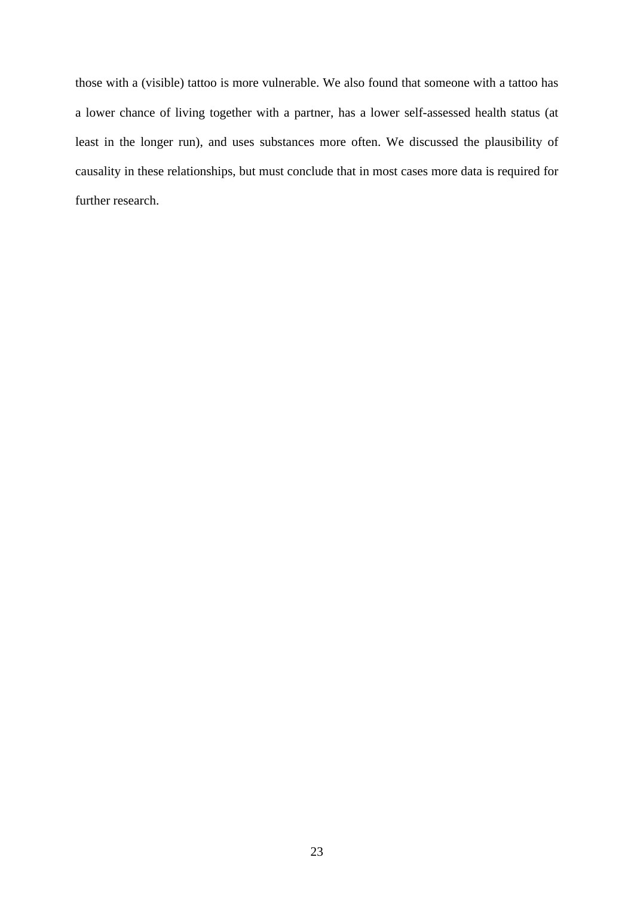those with a (visible) tattoo is more vulnerable. We also found that someone with a tattoo has a lower chance of living together with a partner, has a lower self-assessed health status (at least in the longer run), and uses substances more often. We discussed the plausibility of causality in these relationships, but must conclude that in most cases more data is required for further research.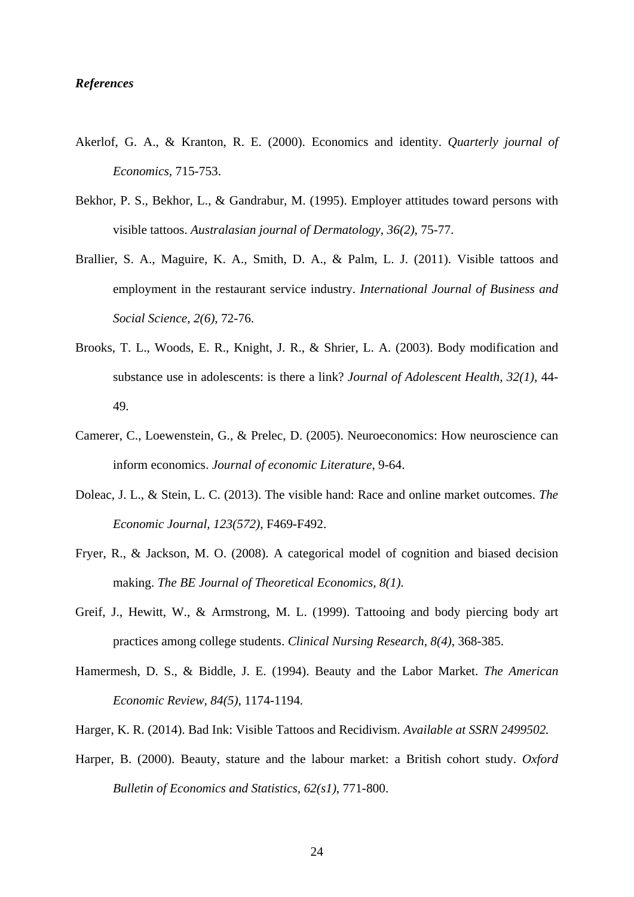#### *References*

- Akerlof, G. A., & Kranton, R. E. (2000). Economics and identity. *Quarterly journal of Economics,* 715-753.
- Bekhor, P. S., Bekhor, L., & Gandrabur, M. (1995). Employer attitudes toward persons with visible tattoos. *Australasian journal of Dermatology, 36(2)*, 75-77.
- Brallier, S. A., Maguire, K. A., Smith, D. A., & Palm, L. J. (2011). Visible tattoos and employment in the restaurant service industry. *International Journal of Business and Social Science, 2(6)*, 72-76.
- Brooks, T. L., Woods, E. R., Knight, J. R., & Shrier, L. A. (2003). Body modification and substance use in adolescents: is there a link? *Journal of Adolescent Health, 32(1)*, 44- 49.
- Camerer, C., Loewenstein, G., & Prelec, D. (2005). Neuroeconomics: How neuroscience can inform economics. *Journal of economic Literature*, 9-64.
- Doleac, J. L., & Stein, L. C. (2013). The visible hand: Race and online market outcomes. *The Economic Journal, 123(572)*, F469-F492.
- Fryer, R., & Jackson, M. O. (2008). A categorical model of cognition and biased decision making. *The BE Journal of Theoretical Economics, 8(1)*.
- Greif, J., Hewitt, W., & Armstrong, M. L. (1999). Tattooing and body piercing body art practices among college students. *Clinical Nursing Research, 8(4)*, 368-385.
- Hamermesh, D. S., & Biddle, J. E. (1994). Beauty and the Labor Market. *The American Economic Review, 84(5)*, 1174-1194.
- Harger, K. R. (2014). Bad Ink: Visible Tattoos and Recidivism. *Available at SSRN 2499502.*
- Harper, B. (2000). Beauty, stature and the labour market: a British cohort study. *Oxford Bulletin of Economics and Statistics, 62(s1)*, 771-800.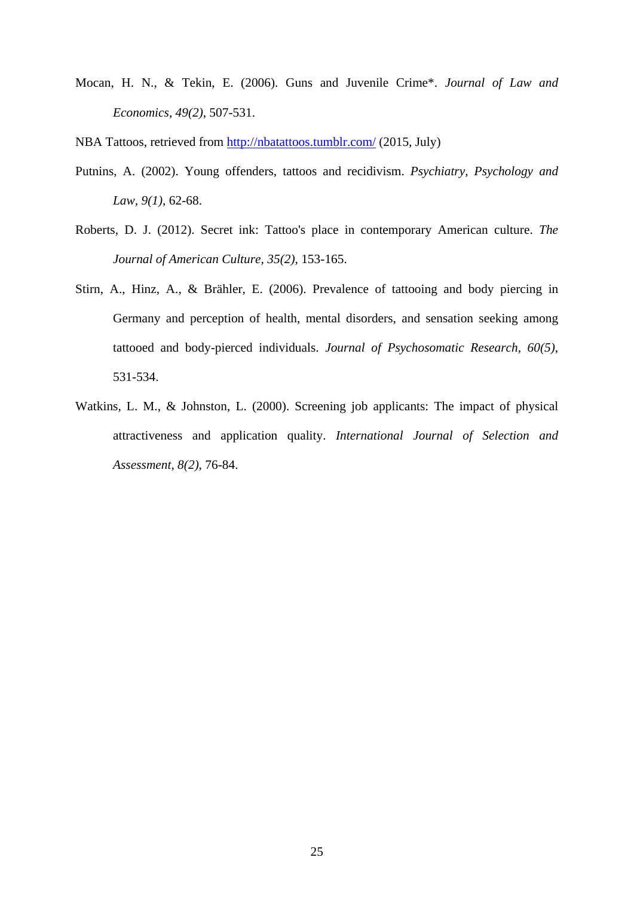Mocan, H. N., & Tekin, E. (2006). Guns and Juvenile Crime\*. *Journal of Law and Economics, 49(2)*, 507-531.

NBA Tattoos, retrieved from http://nbatattoos.tumblr.com/ (2015, July)

- Putnins, A. (2002). Young offenders, tattoos and recidivism. *Psychiatry, Psychology and Law, 9(1)*, 62-68.
- Roberts, D. J. (2012). Secret ink: Tattoo's place in contemporary American culture. *The Journal of American Culture, 35(2)*, 153-165.
- Stirn, A., Hinz, A., & Brähler, E. (2006). Prevalence of tattooing and body piercing in Germany and perception of health, mental disorders, and sensation seeking among tattooed and body-pierced individuals. *Journal of Psychosomatic Research, 60(5)*, 531-534.
- Watkins, L. M., & Johnston, L. (2000). Screening job applicants: The impact of physical attractiveness and application quality. *International Journal of Selection and Assessment, 8(2)*, 76-84.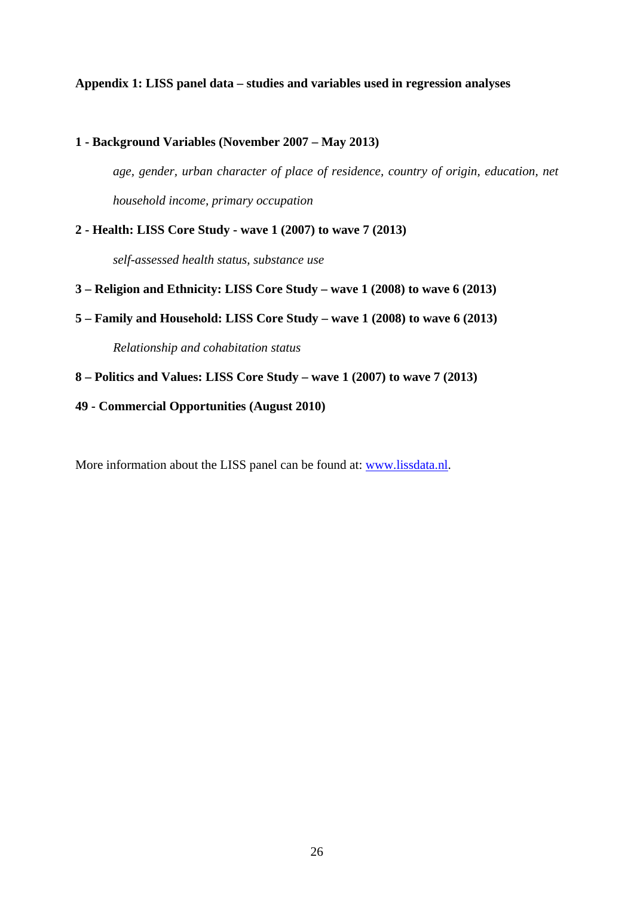#### **Appendix 1: LISS panel data – studies and variables used in regression analyses**

**1 - Background Variables (November 2007 – May 2013)**  *age, gender, urban character of place of residence, country of origin, education, net household income, primary occupation*  **2 - Health: LISS Core Study - wave 1 (2007) to wave 7 (2013)** 

*self-assessed health status, substance use* 

- **3 Religion and Ethnicity: LISS Core Study wave 1 (2008) to wave 6 (2013)**
- **5 Family and Household: LISS Core Study wave 1 (2008) to wave 6 (2013)**

 *Relationship and cohabitation status* 

- **8 Politics and Values: LISS Core Study wave 1 (2007) to wave 7 (2013)**
- **49 Commercial Opportunities (August 2010)**

More information about the LISS panel can be found at: www.lissdata.nl.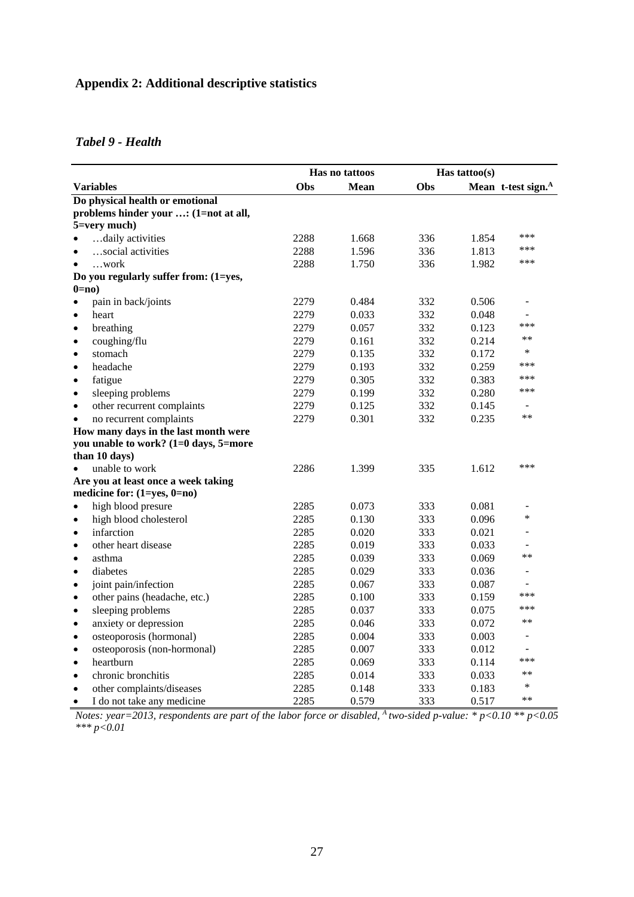## **Appendix 2: Additional descriptive statistics**

#### *Tabel 9 - Health*

|                                           |      | Has no tattoos |     | Has tattoo(s) |                                |
|-------------------------------------------|------|----------------|-----|---------------|--------------------------------|
| <b>Variables</b>                          | Obs  | <b>Mean</b>    | Obs |               | Mean t-test sign. <sup>A</sup> |
| Do physical health or emotional           |      |                |     |               |                                |
| problems hinder your : (1=not at all,     |      |                |     |               |                                |
| 5=very much)                              |      |                |     |               |                                |
| daily activities                          | 2288 | 1.668          | 336 | 1.854         | ***                            |
| social activities<br>$\bullet$            | 2288 | 1.596          | 336 | 1.813         | ***                            |
| …work                                     | 2288 | 1.750          | 336 | 1.982         | ***                            |
| Do you regularly suffer from: (1=yes,     |      |                |     |               |                                |
| $0=no$                                    |      |                |     |               |                                |
| pain in back/joints<br>$\bullet$          | 2279 | 0.484          | 332 | 0.506         | $\overline{\phantom{a}}$       |
| heart<br>$\bullet$                        | 2279 | 0.033          | 332 | 0.048         |                                |
| breathing<br>$\bullet$                    | 2279 | 0.057          | 332 | 0.123         | ***                            |
| coughing/flu<br>$\bullet$                 | 2279 | 0.161          | 332 | 0.214         | $***$                          |
| stomach<br>$\bullet$                      | 2279 | 0.135          | 332 | 0.172         | ∗                              |
| headache<br>$\bullet$                     | 2279 | 0.193          | 332 | 0.259         | ***                            |
| fatigue<br>$\bullet$                      | 2279 | 0.305          | 332 | 0.383         | ***                            |
| sleeping problems<br>$\bullet$            | 2279 | 0.199          | 332 | 0.280         | ***                            |
| other recurrent complaints<br>$\bullet$   | 2279 | 0.125          | 332 | 0.145         | $\sim$                         |
| no recurrent complaints<br>$\bullet$      | 2279 | 0.301          | 332 | 0.235         | $**$                           |
| How many days in the last month were      |      |                |     |               |                                |
| you unable to work? (1=0 days, 5=more     |      |                |     |               |                                |
| than 10 days)                             |      |                |     |               |                                |
| unable to work                            | 2286 | 1.399          | 335 | 1.612         | ***                            |
| Are you at least once a week taking       |      |                |     |               |                                |
| medicine for: $(1=yes, 0=no)$             |      |                |     |               |                                |
| high blood presure<br>$\bullet$           | 2285 | 0.073          | 333 | 0.081         | $\overline{a}$                 |
| high blood cholesterol<br>$\bullet$       | 2285 | 0.130          | 333 | 0.096         | $\ast$                         |
| infarction<br>$\bullet$                   | 2285 | 0.020          | 333 | 0.021         |                                |
| other heart disease<br>$\bullet$          | 2285 | 0.019          | 333 | 0.033         |                                |
| asthma<br>$\bullet$                       | 2285 | 0.039          | 333 | 0.069         | $**$                           |
| diabetes<br>$\bullet$                     | 2285 | 0.029          | 333 | 0.036         |                                |
| joint pain/infection<br>$\bullet$         | 2285 | 0.067          | 333 | 0.087         | $\sim$                         |
| other pains (headache, etc.)<br>$\bullet$ | 2285 | 0.100          | 333 | 0.159         | ***                            |
| sleeping problems<br>$\bullet$            | 2285 | 0.037          | 333 | 0.075         | ***                            |
| anxiety or depression<br>$\bullet$        | 2285 | 0.046          | 333 | 0.072         | $**$                           |
| osteoporosis (hormonal)<br>$\bullet$      | 2285 | 0.004          | 333 | 0.003         |                                |
| osteoporosis (non-hormonal)<br>$\bullet$  | 2285 | 0.007          | 333 | 0.012         |                                |
| heartburn<br>$\bullet$                    | 2285 | 0.069          | 333 | 0.114         | ***                            |
| chronic bronchitis<br>$\bullet$           | 2285 | 0.014          | 333 | 0.033         | $**$                           |
| other complaints/diseases<br>$\bullet$    | 2285 | 0.148          | 333 | 0.183         | $\ast$                         |
| I do not take any medicine<br>$\bullet$   | 2285 | 0.579          | 333 | 0.517         | $**$                           |

*Notes: year=2013, respondents are part of the labor force or disabled, A two-sided p-value: \* p<0.10 \*\* p<0.05 \*\*\* p<0.01*